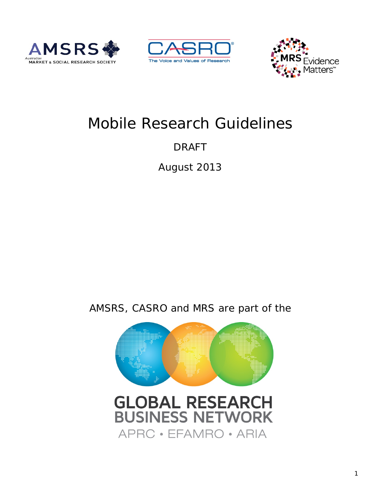





# Mobile Research Guidelines

## DRAFT

August 2013

## AMSRS, CASRO and MRS are part of the

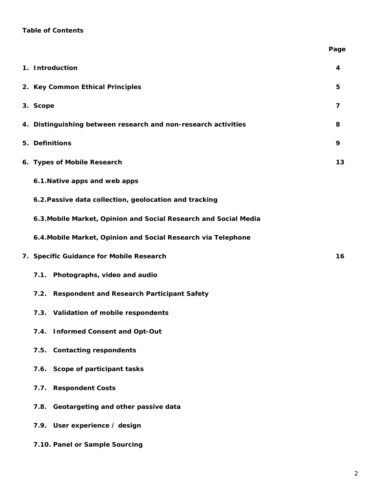## **Table of Contents**

|                                                                  | Page           |
|------------------------------------------------------------------|----------------|
| 1. Introduction                                                  | 4              |
| 2. Key Common Ethical Principles                                 | 5              |
| 3. Scope                                                         | $\overline{7}$ |
| 4. Distinguishing between research and non-research activities   | 8              |
| 5. Definitions                                                   | 9              |
| 6. Types of Mobile Research                                      | 13             |
| 6.1. Native apps and web apps                                    |                |
| 6.2. Passive data collection, geolocation and tracking           |                |
| 6.3. Mobile Market, Opinion and Social Research and Social Media |                |
| 6.4. Mobile Market, Opinion and Social Research via Telephone    |                |
| 7. Specific Guidance for Mobile Research                         | 16             |
| 7.1. Photographs, video and audio                                |                |
| 7.2. Respondent and Research Participant Safety                  |                |
| 7.3. Validation of mobile respondents                            |                |
| 7.4. Informed Consent and Opt-Out                                |                |
| 7.5. Contacting respondents                                      |                |
| 7.6. Scope of participant tasks                                  |                |
| 7.7. Respondent Costs                                            |                |
| 7.8. Geotargeting and other passive data                         |                |
| 7.9. User experience / design                                    |                |
| 7.10. Panel or Sample Sourcing                                   |                |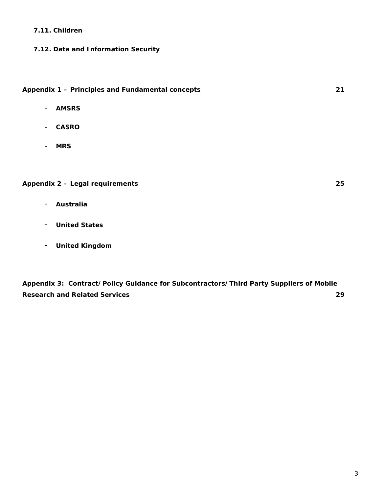#### **7.11. Children**

## **7.12. Data and Information Security**

## **Appendix 1 – Principles and Fundamental concepts 21**

- **AMSRS**
- **CASRO**
- **MRS**

## **Appendix 2 – Legal requirements 25**

- **Australia**
- **United States**
- **United Kingdom**

**Appendix 3: Contract/Policy Guidance for Subcontractors/Third Party Suppliers of Mobile Research and Related Services 29**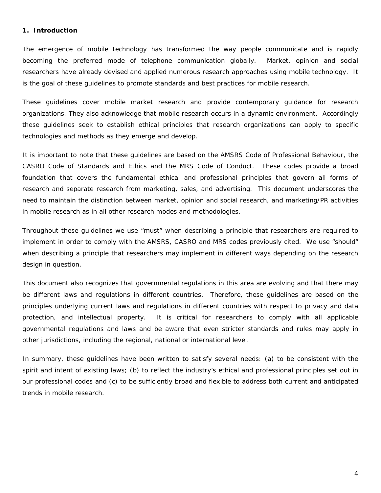### **1. Introduction**

The emergence of mobile technology has transformed the way people communicate and is rapidly becoming the preferred mode of telephone communication globally. Market, opinion and social researchers have already devised and applied numerous research approaches using mobile technology. It is the goal of these guidelines to promote standards and best practices for mobile research.

These guidelines cover mobile market research and provide contemporary guidance for research organizations. They also acknowledge that mobile research occurs in a dynamic environment. Accordingly these guidelines seek to establish ethical principles that research organizations can apply to specific technologies and methods as they emerge and develop.

It is important to note that these guidelines are based on the AMSRS Code of Professional Behaviour, the CASRO Code of Standards and Ethics and the MRS Code of Conduct. These codes provide a broad foundation that covers the fundamental ethical and professional principles that govern all forms of research and separate research from marketing, sales, and advertising. This document underscores the need to maintain the distinction between market, opinion and social research, and marketing/PR activities in mobile research as in all other research modes and methodologies.

Throughout these guidelines we use "must" when describing a principle that researchers are required to implement in order to comply with the AMSRS, CASRO and MRS codes previously cited. We use "should" when describing a principle that researchers may implement in different ways depending on the research design in question.

This document also recognizes that governmental regulations in this area are evolving and that there may be different laws and regulations in different countries. Therefore, these guidelines are based on the principles underlying current laws and regulations in different countries with respect to privacy and data protection, and intellectual property. It is critical for researchers to comply with all applicable governmental regulations and laws and be aware that even stricter standards and rules may apply in other jurisdictions, including the regional, national or international level.

In summary, these guidelines have been written to satisfy several needs: (a) to be consistent with the spirit and intent of existing laws; (b) to reflect the industry's ethical and professional principles set out in our professional codes and (c) to be sufficiently broad and flexible to address both current and anticipated trends in mobile research.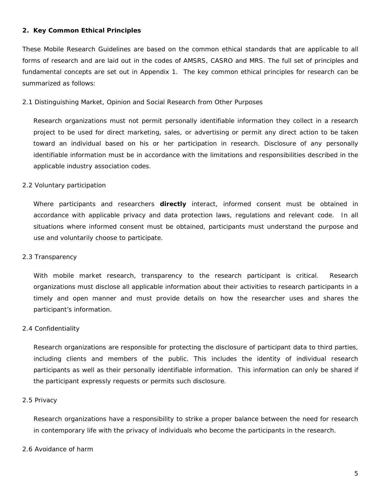#### **2. Key Common Ethical Principles**

These Mobile Research Guidelines are based on the common ethical standards that are applicable to all forms of research and are laid out in the codes of AMSRS, CASRO and MRS. The full set of principles and fundamental concepts are set out in Appendix 1. The key common ethical principles for research can be summarized as follows:

#### *2.1 Distinguishing Market, Opinion and Social Research from Other Purposes*

Research organizations must not permit personally identifiable information they collect in a research project to be used for direct marketing, sales, or advertising or permit any direct action to be taken toward an individual based on his or her participation in research. Disclosure of any personally identifiable information must be in accordance with the limitations and responsibilities described in the applicable industry association codes.

#### *2.2 Voluntary participation*

Where participants and researchers **directly** interact, informed consent must be obtained in accordance with applicable privacy and data protection laws, regulations and relevant code. In all situations where informed consent must be obtained, participants must understand the purpose and use and voluntarily choose to participate.

#### *2.3 Transparency*

With mobile market research, transparency to the research participant is critical. Research organizations must disclose all applicable information about their activities to research participants in a timely and open manner and must provide details on how the researcher uses and shares the participant's information.

#### *2.4 Confidentiality*

Research organizations are responsible for protecting the disclosure of participant data to third parties, including clients and members of the public. This includes the identity of individual research participants as well as their personally identifiable information. This information can only be shared if the participant expressly requests or permits such disclosure.

#### *2.5 Privacy*

Research organizations have a responsibility to strike a proper balance between the need for research in contemporary life with the privacy of individuals who become the participants in the research.

#### *2.6 Avoidance of harm*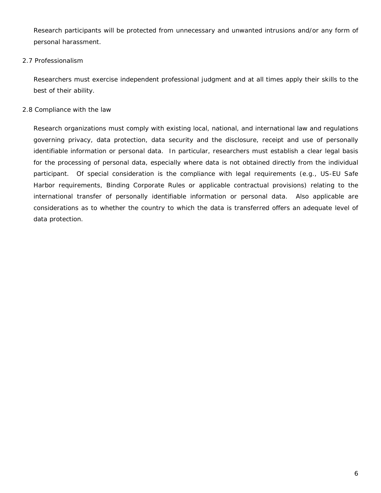Research participants will be protected from unnecessary and unwanted intrusions and/or any form of personal harassment.

## *2.7 Professionalism*

Researchers must exercise independent professional judgment and at all times apply their skills to the best of their ability.

## *2.8 Compliance with the law*

Research organizations must comply with existing local, national, and international law and regulations governing privacy, data protection, data security and the disclosure, receipt and use of personally identifiable information or personal data. In particular, researchers must establish a clear legal basis for the processing of personal data, especially where data is not obtained directly from the individual participant. Of special consideration is the compliance with legal requirements (e.g., US-EU Safe Harbor requirements, Binding Corporate Rules or applicable contractual provisions) relating to the international transfer of personally identifiable information or personal data. Also applicable are considerations as to whether the country to which the data is transferred offers an adequate level of data protection.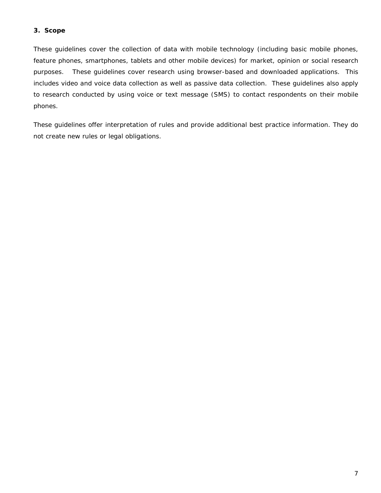## **3. Scope**

These guidelines cover the collection of data with mobile technology (including basic mobile phones, feature phones, smartphones, tablets and other mobile devices) for market, opinion or social research purposes. These guidelines cover research using browser-based and downloaded applications. This includes video and voice data collection as well as passive data collection. These guidelines also apply to research conducted by using voice or text message (SMS) to contact respondents on their mobile phones.

These guidelines offer interpretation of rules and provide additional best practice information. They do not create new rules or legal obligations.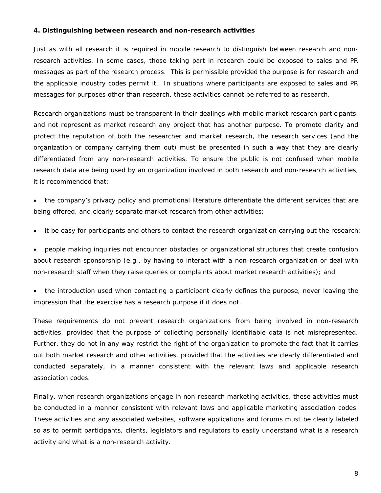#### **4. Distinguishing between research and non-research activities**

Just as with all research it is required in mobile research to distinguish between research and nonresearch activities. In some cases, those taking part in research could be exposed to sales and PR messages as part of the research process. This is permissible provided the purpose is for research and the applicable industry codes permit it. In situations where participants are exposed to sales and PR messages for purposes other than research, these activities cannot be referred to as research.

Research organizations must be transparent in their dealings with mobile market research participants, and not represent as market research any project that has another purpose. To promote clarity and protect the reputation of both the researcher and market research, the research services (and the organization or company carrying them out) must be presented in such a way that they are clearly differentiated from any non-research activities. To ensure the public is not confused when mobile research data are being used by an organization involved in both research and non-research activities, it is recommended that:

• the company's privacy policy and promotional literature differentiate the different services that are being offered, and clearly separate market research from other activities;

it be easy for participants and others to contact the research organization carrying out the research;

• people making inquiries not encounter obstacles or organizational structures that create confusion about research sponsorship (e.g., by having to interact with a non-research organization or deal with non-research staff when they raise queries or complaints about market research activities); and

the introduction used when contacting a participant clearly defines the purpose, never leaving the impression that the exercise has a research purpose if it does not.

These requirements do not prevent research organizations from being involved in non-research activities, provided that the purpose of collecting personally identifiable data is not misrepresented. Further, they do not in any way restrict the right of the organization to promote the fact that it carries out both market research and other activities, provided that the activities are clearly differentiated and conducted separately, in a manner consistent with the relevant laws and applicable research association codes.

Finally, when research organizations engage in non-research marketing activities, these activities must be conducted in a manner consistent with relevant laws and applicable marketing association codes. These activities and any associated websites, software applications and forums must be clearly labeled so as to permit participants, clients, legislators and regulators to easily understand what is a research activity and what is a non-research activity.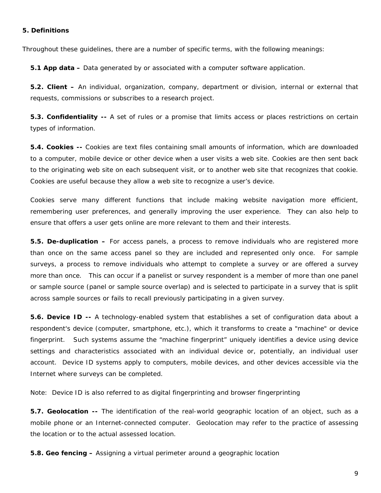#### **5. Definitions**

Throughout these guidelines, there are a number of specific terms, with the following meanings:

**5.1 App data –** Data generated by or associated with a computer software application.

**5.2. Client –** An individual, organization, company, department or division, internal or external that requests, commissions or subscribes to a research project.

**5.3. Confidentiality --** A set of rules or a promise that limits access or places restrictions on certain types of information.

**5.4. Cookies --** Cookies are text files containing small amounts of information, which are downloaded to a computer, mobile device or other device when a user visits a web site. Cookies are then sent back to the originating web site on each subsequent visit, or to another web site that recognizes that cookie. Cookies are useful because they allow a web site to recognize a user's device.

Cookies serve many different functions that include making website navigation more efficient, remembering user preferences, and generally improving the user experience. They can also help to ensure that offers a user gets online are more relevant to them and their interests.

**5.5. De-duplication –** For access panels, a process to remove individuals who are registered more than once on the same access panel so they are included and represented only once. For sample surveys, a process to remove individuals who attempt to complete a survey or are offered a survey more than once. This can occur if a panelist or survey respondent is a member of more than one panel or sample source (panel or sample source overlap) and is selected to participate in a survey that is split across sample sources or fails to recall previously participating in a given survey.

**5.6. Device ID --** A technology-enabled system that establishes a set of configuration data about a respondent's device (computer, smartphone, etc.), which it transforms to create a "machine" or device fingerprint. Such systems assume the "machine fingerprint" uniquely identifies a device using device settings and characteristics associated with an individual device or, potentially, an individual user account. Device ID systems apply to computers, mobile devices, and other devices accessible via the Internet where surveys can be completed.

Note: Device ID is also referred to as digital fingerprinting and browser fingerprinting

**5.7. Geolocation --** The identification of the real-world geographic location of an object, such as a mobile phone or an Internet-connected computer. Geolocation may refer to the practice of assessing the location or to the actual assessed location.

**5.8. Geo fencing –** Assigning a virtual perimeter around a geographic location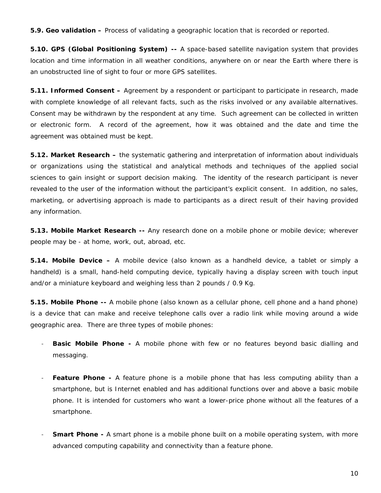**5.9. Geo validation –** Process of validating a geographic location that is recorded or reported.

**5.10. GPS (Global Positioning System) --** A space-based satellite navigation system that provides location and time information in all weather conditions, anywhere on or near the Earth where there is an unobstructed line of sight to four or more GPS satellites.

**5.11. Informed Consent –** Agreement by a respondent or participant to participate in research, made with complete knowledge of all relevant facts, such as the risks involved or any available alternatives. Consent may be withdrawn by the respondent at any time. Such agreement can be collected in written or electronic form. A record of the agreement, how it was obtained and the date and time the agreement was obtained must be kept.

**5.12. Market Research –** the systematic gathering and interpretation of information about individuals or organizations using the statistical and analytical methods and techniques of the applied social sciences to gain insight or support decision making. The identity of the research participant is never revealed to the user of the information without the participant's explicit consent. In addition, no sales, marketing, or advertising approach is made to participants as a direct result of their having provided any information.

**5.13. Mobile Market Research --** Any research done on a mobile phone or mobile device; wherever people may be - at home, work, out, abroad, etc.

**5.14. Mobile Device –** A mobile device (also known as a handheld device, a tablet or simply a handheld) is a small, hand-held computing device, typically having a display screen with touch input and/or a miniature keyboard and weighing less than 2 pounds / 0.9 Kg.

**5.15. Mobile Phone --** A mobile phone (also known as a cellular phone, cell phone and a hand phone) is a device that can make and receive telephone calls over a radio link while moving around a wide geographic area. There are three types of mobile phones:

- **Basic Mobile Phone -** A mobile phone with few or no features beyond basic dialling and messaging.
- **Feature Phone -** A feature phone is a mobile phone that has less computing ability than a smartphone, but is Internet enabled and has additional functions over and above a basic mobile phone. It is intended for customers who want a lower-price phone without all the features of a smartphone.
- **Smart Phone -** A smart phone is a mobile phone built on a mobile operating system, with more advanced computing capability and connectivity than a feature phone.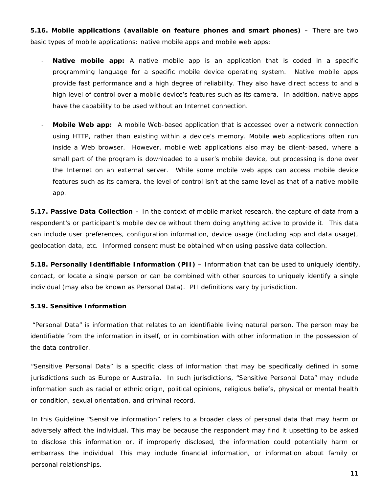**5.16. Mobile applications (available on feature phones and smart phones) –** There are two basic types of mobile applications: native mobile apps and mobile web apps:

- **Native mobile app:** A native mobile app is an application that is coded in a specific programming language for a specific mobile device operating system. Native mobile apps provide fast performance and a high degree of reliability. They also have direct access to and a high level of control over a mobile device's features such as its camera. In addition, native apps have the capability to be used without an Internet connection.
- **Mobile Web app:** A mobile Web-based application that is accessed over a network connection using HTTP, rather than existing within a device's memory. Mobile web applications often run inside a Web browser. However, mobile web applications also may be client-based, where a small part of the program is downloaded to a user's mobile device, but processing is done over the Internet on an external server. While some mobile web apps can access mobile device features such as its camera, the level of control isn't at the same level as that of a native mobile app.

**5.17. Passive Data Collection –** In the context of mobile market research, the capture of data from a respondent's or participant's mobile device without them doing anything active to provide it. This data can include user preferences, configuration information, device usage (including app and data usage), geolocation data, etc. Informed consent must be obtained when using passive data collection.

**5.18. Personally Identifiable Information (PII) –** Information that can be used to uniquely identify, contact, or locate a single person or can be combined with other sources to uniquely identify a single individual (may also be known as Personal Data). PII definitions vary by jurisdiction.

#### **5.19. Sensitive Information**

"Personal Data" is information that relates to an identifiable living natural person. The person may be identifiable from the information in itself, or in combination with other information in the possession of the data controller.

"Sensitive Personal Data" is a specific class of information that may be specifically defined in some jurisdictions such as Europe or Australia. In such jurisdictions, "Sensitive Personal Data" may include information such as racial or ethnic origin, political opinions, religious beliefs, physical or mental health or condition, sexual orientation, and criminal record.

In this Guideline "Sensitive information" refers to a broader class of personal data that may harm or adversely affect the individual. This may be because the respondent may find it upsetting to be asked to disclose this information or, if improperly disclosed, the information could potentially harm or embarrass the individual. This may include financial information, or information about family or personal relationships.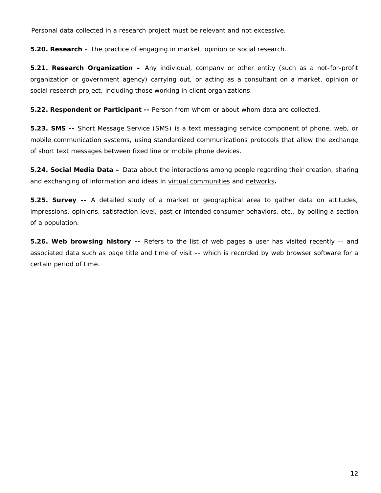Personal data collected in a research project must be relevant and not excessive.

**5.20. Research** – The practice of engaging in market, opinion or social research.

**5.21. Research Organization –** Any individual, company or other entity (such as a not-for-profit organization or government agency) carrying out, or acting as a consultant on a market, opinion or social research project, including those working in client organizations.

**5.22. Respondent or Participant --** Person from whom or about whom data are collected.

**5.23. SMS --** Short Message Service (SMS) is a text messaging service component of phone, web, or mobile communication systems, using standardized communications protocols that allow the exchange of short text messages between fixed line or mobile phone devices.

**5.24. Social Media Data –** Data about the interactions among people regarding their creation, sharing and exchanging of information and ideas in [virtual communities](http://en.wikipedia.org/wiki/Virtual_community) and [networks](http://en.wikipedia.org/wiki/Virtual_network)**.**

**5.25. Survey --** A detailed study of a market or geographical area to gather data on attitudes, impressions, opinions, satisfaction level, past or intended consumer behaviors, etc., by polling a section of a population.

**5.26. Web browsing history --** Refers to the list of web pages a user has visited recently -- and associated data such as page title and time of visit -- which is recorded by web browser software for a certain period of time.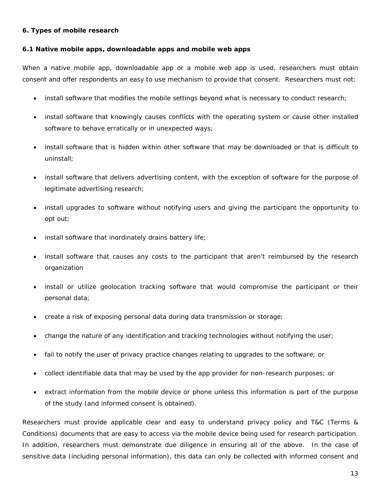## **6. Types of mobile research**

## **6.1 Native mobile apps, downloadable apps and mobile web apps**

When a native mobile app, downloadable app or a mobile web app is used, researchers must obtain consent and offer respondents an easy to use mechanism to provide that consent. Researchers must not:

- install software that modifies the mobile settings beyond what is necessary to conduct research;
- install software that knowingly causes conflicts with the operating system or cause other installed software to behave erratically or in unexpected ways;
- install software that is hidden within other software that may be downloaded or that is difficult to uninstall;
- install software that delivers advertising content, with the exception of software for the purpose of legitimate advertising research;
- install upgrades to software without notifying users and giving the participant the opportunity to opt out;
- install software that inordinately drains battery life;
- install software that causes any costs to the participant that aren't reimbursed by the research organization
- install or utilize geolocation tracking software that would compromise the participant or their personal data;
- create a risk of exposing personal data during data transmission or storage;
- change the nature of any identification and tracking technologies without notifying the user;
- fail to notify the user of privacy practice changes relating to upgrades to the software; or
- collect identifiable data that may be used by the app provider for non-research purposes; or
- extract information from the mobile device or phone unless this information is part of the purpose of the study (and informed consent is obtained).

Researchers must provide applicable clear and easy to understand privacy policy and T&C (Terms & Conditions) documents that are easy to access via the mobile device being used for research participation. In addition, researchers must demonstrate due diligence in ensuring all of the above. In the case of sensitive data (including personal information), this data can only be collected with informed consent and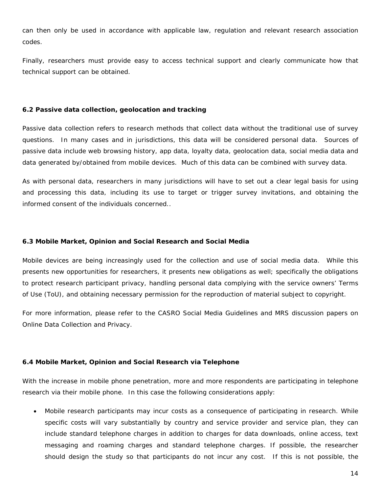can then only be used in accordance with applicable law, regulation and relevant research association codes.

Finally, researchers must provide easy to access technical support and clearly communicate how that technical support can be obtained.

### **6.2 Passive data collection, geolocation and tracking**

Passive data collection refers to research methods that collect data without the traditional use of survey questions. In many cases and in jurisdictions, this data will be considered personal data. Sources of passive data include web browsing history, app data, loyalty data, geolocation data, social media data and data generated by/obtained from mobile devices. Much of this data can be combined with survey data.

As with personal data, researchers in many jurisdictions will have to set out a clear legal basis for using and processing this data, including its use to target or trigger survey invitations, and obtaining the informed consent of the individuals concerned..

## **6.3 Mobile Market, Opinion and Social Research and Social Media**

Mobile devices are being increasingly used for the collection and use of social media data. While this presents new opportunities for researchers, it presents new obligations as well; specifically the obligations to protect research participant privacy, handling personal data complying with the service owners' Terms of Use (ToU), and obtaining necessary permission for the reproduction of material subject to copyright.

For more information, please refer to the CASRO Social Media Guidelines and MRS discussion papers on Online Data Collection and Privacy.

### **6.4 Mobile Market, Opinion and Social Research via Telephone**

With the increase in mobile phone penetration, more and more respondents are participating in telephone research via their mobile phone. In this case the following considerations apply:

• Mobile research participants may incur costs as a consequence of participating in research. While specific costs will vary substantially by country and service provider and service plan, they can include standard telephone charges in addition to charges for data downloads, online access, text messaging and roaming charges and standard telephone charges. If possible, the researcher should design the study so that participants do not incur any cost. If this is not possible, the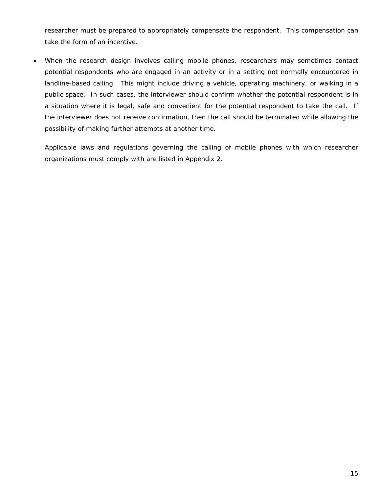researcher must be prepared to appropriately compensate the respondent. This compensation can take the form of an incentive.

• When the research design involves calling mobile phones, researchers may sometimes contact potential respondents who are engaged in an activity or in a setting not normally encountered in landline-based calling. This might include driving a vehicle, operating machinery, or walking in a public space. In such cases, the interviewer should confirm whether the potential respondent is in a situation where it is legal, safe and convenient for the potential respondent to take the call. If the interviewer does not receive confirmation, then the call should be terminated while allowing the possibility of making further attempts at another time.

Applicable laws and regulations governing the calling of mobile phones with which researcher organizations must comply with are listed in Appendix 2.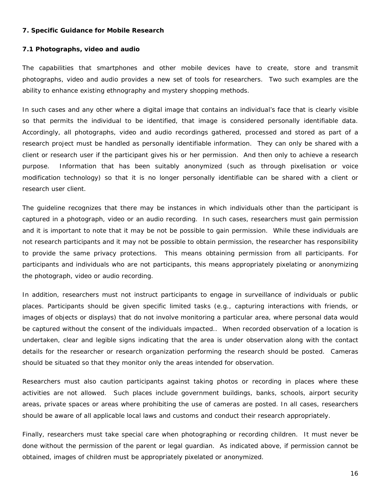#### **7. Specific Guidance for Mobile Research**

#### **7.1 Photographs, video and audio**

The capabilities that smartphones and other mobile devices have to create, store and transmit photographs, video and audio provides a new set of tools for researchers. Two such examples are the ability to enhance existing ethnography and mystery shopping methods.

In such cases and any other where a digital image that contains an individual's face that is clearly visible so that permits the individual to be identified, that image is considered personally identifiable data. Accordingly, all photographs, video and audio recordings gathered, processed and stored as part of a research project must be handled as personally identifiable information. They can only be shared with a client or research user if the participant gives his or her permission. And then only to achieve a research purpose. Information that has been suitably anonymized (such as through pixelisation or voice modification technology) so that it is no longer personally identifiable can be shared with a client or research user client.

The guideline recognizes that there may be instances in which individuals other than the participant is captured in a photograph, video or an audio recording. In such cases, researchers must gain permission and it is important to note that it may be not be possible to gain permission. While these individuals are not research participants and it may not be possible to obtain permission, the researcher has responsibility to provide the same privacy protections. This means obtaining permission from all participants. For participants and individuals who are not participants, this means appropriately pixelating or anonymizing the photograph, video or audio recording.

In addition, researchers must not instruct participants to engage in surveillance of individuals or public places. Participants should be given specific limited tasks (e.g., capturing interactions with friends, or images of objects or displays) that do not involve monitoring a particular area, where personal data would be captured without the consent of the individuals impacted.. When recorded observation of a location is undertaken, clear and legible signs indicating that the area is under observation along with the contact details for the researcher or research organization performing the research should be posted. Cameras should be situated so that they monitor only the areas intended for observation.

Researchers must also caution participants against taking photos or recording in places where these activities are not allowed. Such places include government buildings, banks, schools, airport security areas, private spaces or areas where prohibiting the use of cameras are posted. In all cases, researchers should be aware of all applicable local laws and customs and conduct their research appropriately.

Finally, researchers must take special care when photographing or recording children. It must never be done without the permission of the parent or legal guardian. As indicated above, if permission cannot be obtained, images of children must be appropriately pixelated or anonymized.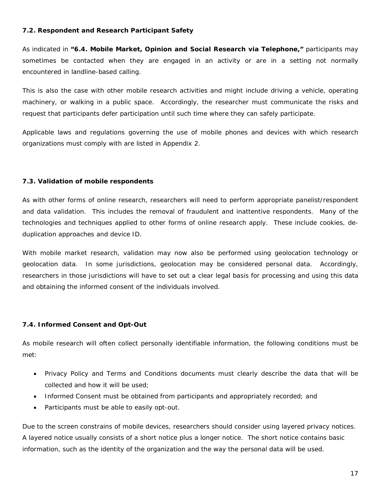## **7.2. Respondent and Research Participant Safety**

As indicated in **"6.4. Mobile Market, Opinion and Social Research via Telephone,"** participants may sometimes be contacted when they are engaged in an activity or are in a setting not normally encountered in landline-based calling.

This is also the case with other mobile research activities and might include driving a vehicle, operating machinery, or walking in a public space. Accordingly, the researcher must communicate the risks and request that participants defer participation until such time where they can safely participate.

Applicable laws and regulations governing the use of mobile phones and devices with which research organizations must comply with are listed in Appendix 2.

## **7.3. Validation of mobile respondents**

As with other forms of online research, researchers will need to perform appropriate panelist/respondent and data validation. This includes the removal of fraudulent and inattentive respondents. Many of the technologies and techniques applied to other forms of online research apply. These include cookies, deduplication approaches and device ID.

With mobile market research, validation may now also be performed using geolocation technology or geolocation data. In some jurisdictions, geolocation may be considered personal data. Accordingly, researchers in those jurisdictions will have to set out a clear legal basis for processing and using this data and obtaining the informed consent of the individuals involved.

### **7.4. Informed Consent and Opt-Out**

As mobile research will often collect personally identifiable information, the following conditions must be met:

- Privacy Policy and Terms and Conditions documents must clearly describe the data that will be collected and how it will be used;
- Informed Consent must be obtained from participants and appropriately recorded; and
- Participants must be able to easily opt-out.

Due to the screen constrains of mobile devices, researchers should consider using layered privacy notices. A layered notice usually consists of a short notice plus a longer notice. The short notice contains basic information, such as the identity of the organization and the way the personal data will be used.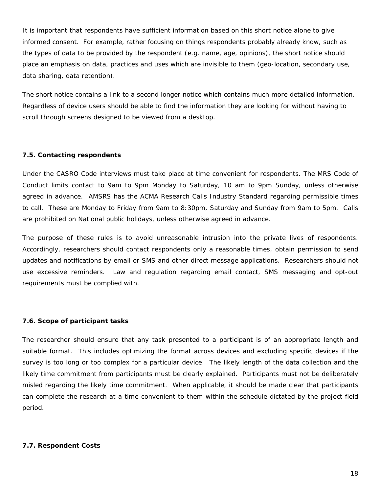It is important that respondents have sufficient information based on this short notice alone to give informed consent. For example, rather focusing on things respondents probably already know, such as the types of data to be provided by the respondent (e.g. name, age, opinions), the short notice should place an emphasis on data, practices and uses which are invisible to them (geo-location, secondary use, data sharing, data retention).

The short notice contains a link to a second longer notice which contains much more detailed information. Regardless of device users should be able to find the information they are looking for without having to scroll through screens designed to be viewed from a desktop.

### **7.5. Contacting respondents**

Under the CASRO Code interviews must take place at time convenient for respondents. The MRS Code of Conduct limits contact to 9am to 9pm Monday to Saturday, 10 am to 9pm Sunday, unless otherwise agreed in advance. AMSRS has the ACMA Research Calls Industry Standard regarding permissible times to call. These are Monday to Friday from 9am to 8:30pm, Saturday and Sunday from 9am to 5pm. Calls are prohibited on National public holidays, unless otherwise agreed in advance.

The purpose of these rules is to avoid unreasonable intrusion into the private lives of respondents. Accordingly, researchers should contact respondents only a reasonable times, obtain permission to send updates and notifications by email or SMS and other direct message applications. Researchers should not use excessive reminders. Law and regulation regarding email contact, SMS messaging and opt-out requirements must be complied with.

#### **7.6. Scope of participant tasks**

The researcher should ensure that any task presented to a participant is of an appropriate length and suitable format. This includes optimizing the format across devices and excluding specific devices if the survey is too long or too complex for a particular device. The likely length of the data collection and the likely time commitment from participants must be clearly explained. Participants must not be deliberately misled regarding the likely time commitment. When applicable, it should be made clear that participants can complete the research at a time convenient to them within the schedule dictated by the project field period.

#### **7.7. Respondent Costs**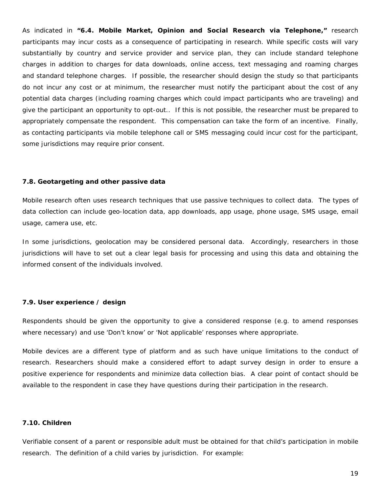As indicated in **"6.4. Mobile Market, Opinion and Social Research via Telephone,"** research participants may incur costs as a consequence of participating in research. While specific costs will vary substantially by country and service provider and service plan, they can include standard telephone charges in addition to charges for data downloads, online access, text messaging and roaming charges and standard telephone charges. If possible, the researcher should design the study so that participants do not incur any cost or at minimum, the researcher must notify the participant about the cost of any potential data charges (including roaming charges which could impact participants who are traveling) and give the participant an opportunity to opt-out.. If this is not possible, the researcher must be prepared to appropriately compensate the respondent. This compensation can take the form of an incentive. Finally, as contacting participants via mobile telephone call or SMS messaging could incur cost for the participant, some jurisdictions may require prior consent.

#### **7.8. Geotargeting and other passive data**

Mobile research often uses research techniques that use passive techniques to collect data. The types of data collection can include geo-location data, app downloads, app usage, phone usage, SMS usage, email usage, camera use, etc.

In some jurisdictions, geolocation may be considered personal data. Accordingly, researchers in those jurisdictions will have to set out a clear legal basis for processing and using this data and obtaining the informed consent of the individuals involved.

#### **7.9. User experience / design**

Respondents should be given the opportunity to give a considered response (e.g. to amend responses where necessary) and use 'Don't know' or 'Not applicable' responses where appropriate.

Mobile devices are a different type of platform and as such have unique limitations to the conduct of research. Researchers should make a considered effort to adapt survey design in order to ensure a positive experience for respondents and minimize data collection bias. A clear point of contact should be available to the respondent in case they have questions during their participation in the research.

#### **7.10. Children**

Verifiable consent of a parent or responsible adult must be obtained for that child's participation in mobile research. The definition of a child varies by jurisdiction. For example: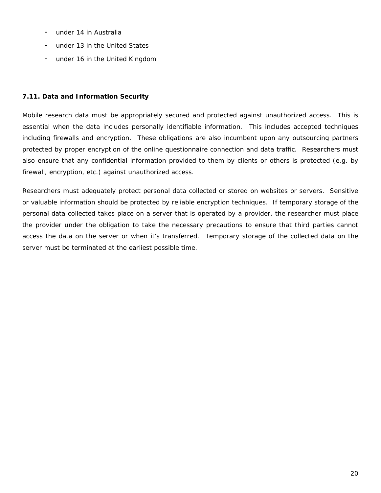- under 14 in Australia
- under 13 in the United States
- under 16 in the United Kingdom

## **7.11. Data and Information Security**

Mobile research data must be appropriately secured and protected against unauthorized access. This is essential when the data includes personally identifiable information. This includes accepted techniques including firewalls and encryption. These obligations are also incumbent upon any outsourcing partners protected by proper encryption of the online questionnaire connection and data traffic. Researchers must also ensure that any confidential information provided to them by clients or others is protected (e.g. by firewall, encryption, etc.) against unauthorized access.

Researchers must adequately protect personal data collected or stored on websites or servers. Sensitive or valuable information should be protected by reliable encryption techniques. If temporary storage of the personal data collected takes place on a server that is operated by a provider, the researcher must place the provider under the obligation to take the necessary precautions to ensure that third parties cannot access the data on the server or when it's transferred. Temporary storage of the collected data on the server must be terminated at the earliest possible time.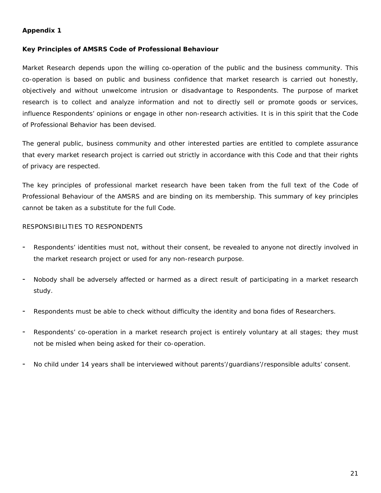## **Appendix 1**

### **Key Principles of AMSRS Code of Professional Behaviour**

Market Research depends upon the willing co-operation of the public and the business community. This co-operation is based on public and business confidence that market research is carried out honestly, objectively and without unwelcome intrusion or disadvantage to Respondents. The purpose of market research is to collect and analyze information and not to directly sell or promote goods or services, influence Respondents' opinions or engage in other non-research activities. It is in this spirit that the Code of Professional Behavior has been devised.

The general public, business community and other interested parties are entitled to complete assurance that every market research project is carried out strictly in accordance with this Code and that their rights of privacy are respected.

The key principles of professional market research have been taken from the full text of the Code of Professional Behaviour of the AMSRS and are binding on its membership. This summary of key principles cannot be taken as a substitute for the full Code.

### RESPONSIBILITIES TO RESPONDENTS

- Respondents' identities must not, without their consent, be revealed to anyone not directly involved in the market research project or used for any non-research purpose.
- Nobody shall be adversely affected or harmed as a direct result of participating in a market research study.
- Respondents must be able to check without difficulty the identity and bona fides of Researchers.
- Respondents' co-operation in a market research project is entirely voluntary at all stages; they must not be misled when being asked for their co-operation.
- No child under 14 years shall be interviewed without parents'/guardians'/responsible adults' consent.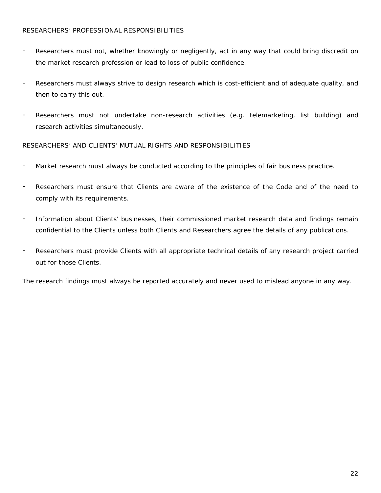## RESEARCHERS' PROFESSIONAL RESPONSIBILITIES

- Researchers must not, whether knowingly or negligently, act in any way that could bring discredit on the market research profession or lead to loss of public confidence.
- Researchers must always strive to design research which is cost-efficient and of adequate quality, and then to carry this out.
- Researchers must not undertake non-research activities (e.g. telemarketing, list building) and research activities simultaneously.

RESEARCHERS' AND CLIENTS' MUTUAL RIGHTS AND RESPONSIBILITIES

- Market research must always be conducted according to the principles of fair business practice.
- Researchers must ensure that Clients are aware of the existence of the Code and of the need to comply with its requirements.
- Information about Clients' businesses, their commissioned market research data and findings remain confidential to the Clients unless both Clients and Researchers agree the details of any publications.
- Researchers must provide Clients with all appropriate technical details of any research project carried out for those Clients.

The research findings must always be reported accurately and never used to mislead anyone in any way.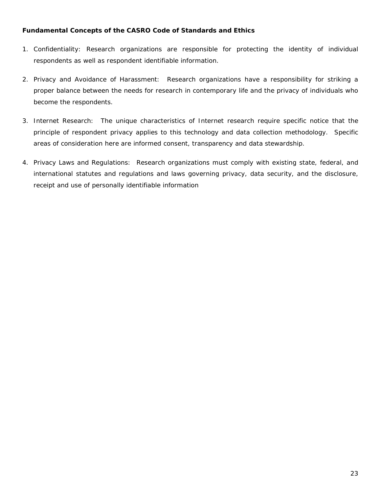## **Fundamental Concepts of the CASRO Code of Standards and Ethics**

- 1. Confidentiality: Research organizations are responsible for protecting the identity of individual respondents as well as respondent identifiable information.
- 2. Privacy and Avoidance of Harassment: Research organizations have a responsibility for striking a proper balance between the needs for research in contemporary life and the privacy of individuals who become the respondents.
- 3. Internet Research: The unique characteristics of Internet research require specific notice that the principle of respondent privacy applies to this technology and data collection methodology. Specific areas of consideration here are informed consent, transparency and data stewardship.
- 4. Privacy Laws and Regulations: Research organizations must comply with existing state, federal, and international statutes and regulations and laws governing privacy, data security, and the disclosure, receipt and use of personally identifiable information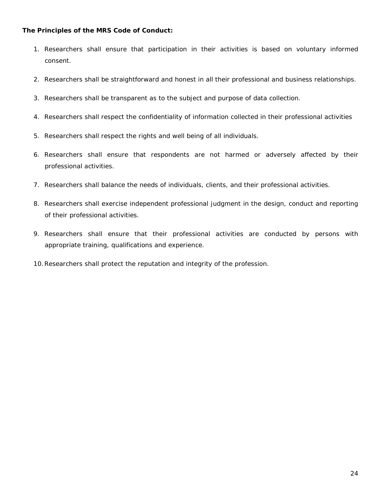## **The Principles of the MRS Code of Conduct:**

- 1. Researchers shall ensure that participation in their activities is based on voluntary informed consent.
- 2. Researchers shall be straightforward and honest in all their professional and business relationships.
- 3. Researchers shall be transparent as to the subject and purpose of data collection.
- 4. Researchers shall respect the confidentiality of information collected in their professional activities
- 5. Researchers shall respect the rights and well being of all individuals.
- 6. Researchers shall ensure that respondents are not harmed or adversely affected by their professional activities.
- 7. Researchers shall balance the needs of individuals, clients, and their professional activities.
- 8. Researchers shall exercise independent professional judgment in the design, conduct and reporting of their professional activities.
- 9. Researchers shall ensure that their professional activities are conducted by persons with appropriate training, qualifications and experience.
- 10.Researchers shall protect the reputation and integrity of the profession.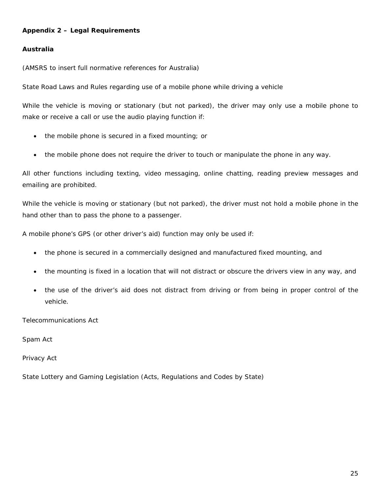## **Appendix 2 – Legal Requirements**

## **Australia**

(AMSRS to insert full normative references for Australia)

State Road Laws and Rules regarding use of a mobile phone while driving a vehicle

While the vehicle is moving or stationary (but not parked), the driver may only use a mobile phone to make or receive a call or use the audio playing function if:

- the mobile phone is secured in a fixed mounting; or
- the mobile phone does not require the driver to touch or manipulate the phone in any way.

All other functions including texting, video messaging, online chatting, reading preview messages and emailing are prohibited.

While the vehicle is moving or stationary (but not parked), the driver must not hold a mobile phone in the hand other than to pass the phone to a passenger.

A mobile phone's GPS (or other driver's aid) function may only be used if:

- the phone is secured in a commercially designed and manufactured fixed mounting, and
- the mounting is fixed in a location that will not distract or obscure the drivers view in any way, and
- the use of the driver's aid does not distract from driving or from being in proper control of the vehicle.

Telecommunications Act

Spam Act

Privacy Act

State Lottery and Gaming Legislation (Acts, Regulations and Codes by State)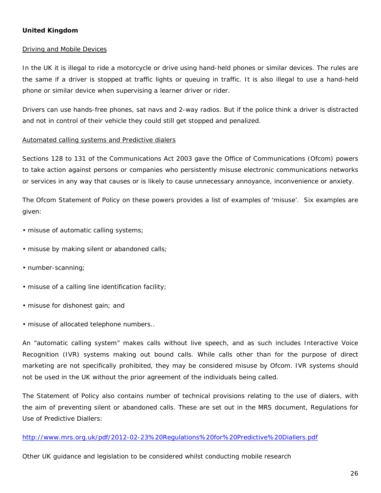## **United Kingdom**

#### Driving and Mobile Devices

In the UK it is illegal to ride a motorcycle or drive using hand-held phones or similar devices. The rules are the same if a driver is stopped at traffic lights or queuing in traffic. It is also illegal to use a hand-held phone or similar device when supervising a learner driver or rider.

Drivers can use hands-free phones, sat navs and 2-way radios. But if the police think a driver is distracted and not in control of their vehicle they could still get stopped and penalized.

#### Automated calling systems and Predictive dialers

Sections 128 to 131 of the Communications Act 2003 gave the Office of Communications (Ofcom) powers to take action against persons or companies who persistently misuse electronic communications networks or services in any way that causes or is likely to cause unnecessary annoyance, inconvenience or anxiety.

The Ofcom Statement of Policy on these powers provides a list of examples of 'misuse'. Six examples are given:

- misuse of automatic calling systems;
- misuse by making silent or abandoned calls;
- number-scanning;
- misuse of a calling line identification facility;
- misuse for dishonest gain; and
- misuse of allocated telephone numbers..

An "automatic calling system" makes calls without live speech, and as such includes Interactive Voice Recognition (IVR) systems making out bound calls. While calls other than for the purpose of direct marketing are not specifically prohibited, they may be considered misuse by Ofcom. IVR systems should not be used in the UK without the prior agreement of the individuals being called.

The Statement of Policy also contains number of technical provisions relating to the use of dialers, with the aim of preventing silent or abandoned calls. These are set out in the MRS document, *Regulations for Use of Predictive Diallers:*

#### <http://www.mrs.org.uk/pdf/2012-02-23%20Regulations%20for%20Predictive%20Diallers.pdf>

*Other UK guidance and legislation to be considered whilst conducting mobile research*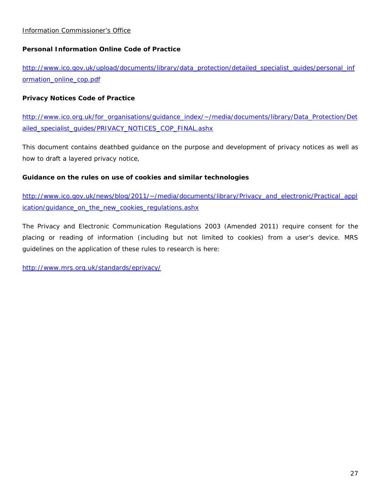## *Personal Information Online Code of Practice*

[http://www.ico.gov.uk/upload/documents/library/data\\_protection/detailed\\_specialist\\_guides/personal\\_inf](http://www.ico.gov.uk/upload/documents/library/data_protection/detailed_specialist_guides/personal_information_online_cop.pdf) [ormation\\_online\\_cop.pdf](http://www.ico.gov.uk/upload/documents/library/data_protection/detailed_specialist_guides/personal_information_online_cop.pdf)

## *Privacy Notices Code of Practice*

[http://www.ico.org.uk/for\\_organisations/guidance\\_index/~/media/documents/library/Data\\_Protection/Det](http://www.ico.org.uk/for_organisations/guidance_index/~/media/documents/library/Data_Protection/Detailed_specialist_guides/PRIVACY_NOTICES_COP_FINAL.ashx) [ailed\\_specialist\\_guides/PRIVACY\\_NOTICES\\_COP\\_FINAL.ashx](http://www.ico.org.uk/for_organisations/guidance_index/~/media/documents/library/Data_Protection/Detailed_specialist_guides/PRIVACY_NOTICES_COP_FINAL.ashx)

This document contains deathbed guidance on the purpose and development of privacy notices as well as how to draft a layered privacy notice,

### *Guidance on the rules on use of cookies and similar technologies*

[http://www.ico.gov.uk/news/blog/2011/~/media/documents/library/Privacy\\_and\\_electronic/Practical\\_appl](http://www.ico.gov.uk/news/blog/2011/~/media/documents/library/Privacy_and_electronic/Practical_application/guidance_on_the_new_cookies_regulations.ashx) [ication/guidance\\_on\\_the\\_new\\_cookies\\_regulations.ashx](http://www.ico.gov.uk/news/blog/2011/~/media/documents/library/Privacy_and_electronic/Practical_application/guidance_on_the_new_cookies_regulations.ashx)

The Privacy and Electronic Communication Regulations 2003 (Amended 2011) require consent for the placing or reading of information (including but not limited to cookies) from a user's device. MRS guidelines on the application of these rules to research is here:

<http://www.mrs.org.uk/standards/eprivacy/>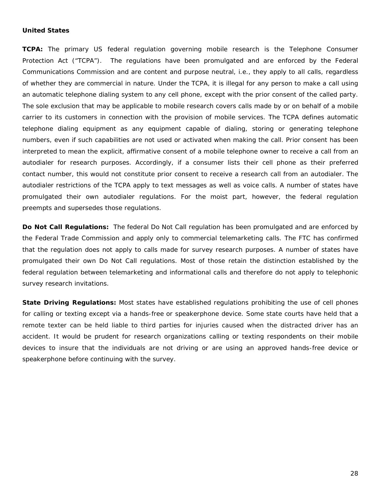#### **United States**

**TCPA:** The primary US federal regulation governing mobile research is the Telephone Consumer Protection Act ("TCPA"). The regulations have been promulgated and are enforced by the Federal Communications Commission and are content and purpose neutral, i.e., they apply to all calls, regardless of whether they are commercial in nature. Under the TCPA, it is illegal for any person to make a call using an automatic telephone dialing system to any cell phone, except with the prior consent of the called party. The sole exclusion that may be applicable to mobile research covers calls made by or on behalf of a mobile carrier to its customers in connection with the provision of mobile services. The TCPA defines automatic telephone dialing equipment as any equipment capable of dialing, storing or generating telephone numbers, even if such capabilities are not used or activated when making the call. Prior consent has been interpreted to mean the explicit, affirmative consent of a mobile telephone owner to receive a call from an autodialer for research purposes. Accordingly, if a consumer lists their cell phone as their preferred contact number, this would not constitute prior consent to receive a research call from an autodialer. The autodialer restrictions of the TCPA apply to text messages as well as voice calls. A number of states have promulgated their own autodialer regulations. For the moist part, however, the federal regulation preempts and supersedes those regulations.

**Do Not Call Regulations:** The federal Do Not Call regulation has been promulgated and are enforced by the Federal Trade Commission and apply only to commercial telemarketing calls. The FTC has confirmed that the regulation does not apply to calls made for survey research purposes. A number of states have promulgated their own Do Not Call regulations. Most of those retain the distinction established by the federal regulation between telemarketing and informational calls and therefore do not apply to telephonic survey research invitations.

**State Driving Regulations:** Most states have established regulations prohibiting the use of cell phones for calling or texting except via a hands-free or speakerphone device. Some state courts have held that a remote texter can be held liable to third parties for injuries caused when the distracted driver has an accident. It would be prudent for research organizations calling or texting respondents on their mobile devices to insure that the individuals are not driving or are using an approved hands-free device or speakerphone before continuing with the survey.